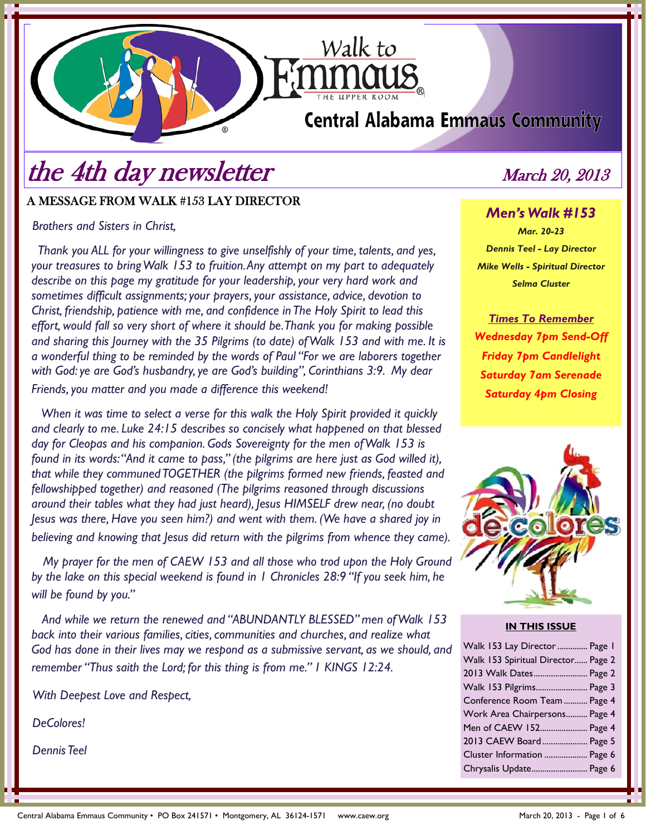# **Central Alabama Emmaus Community**

Walk to

# the 4th day newsletter March 20, 2013

## A MESSAGE FROM WALK #153 LAY DIRECTOR

*Brothers and Sisters in Christ,* 

 *Thank you ALL for your willingness to give unselfishly of your time, talents, and yes, your treasures to bring Walk 153 to fruition. Any attempt on my part to adequately describe on this page my gratitude for your leadership, your very hard work and sometimes difficult assignments; your prayers, your assistance, advice, devotion to Christ, friendship, patience with me, and confidence in The Holy Spirit to lead this effort, would fall so very short of where it should be. Thank you for making possible and sharing this Journey with the 35 Pilgrims (to date) of Walk 153 and with me. It is a wonderful thing to be reminded by the words of Paul "For we are laborers together with God: ye are God's husbandry, ye are God's building", Corinthians 3:9. My dear Friends, you matter and you made a difference this weekend!* 

 *When it was time to select a verse for this walk the Holy Spirit provided it quickly and clearly to me. Luke 24:15 describes so concisely what happened on that blessed day for Cleopas and his companion. Gods Sovereignty for the men of Walk 153 is found in its words: "And it came to pass," (the pilgrims are here just as God willed it), that while they communed TOGETHER (the pilgrims formed new friends, feasted and fellowshipped together) and reasoned (The pilgrims reasoned through discussions around their tables what they had just heard), Jesus HIMSELF drew near, (no doubt Jesus was there, Have you seen him?) and went with them. (We have a shared joy in believing and knowing that Jesus did return with the pilgrims from whence they came).* 

 *My prayer for the men of CAEW 153 and all those who trod upon the Holy Ground by the lake on this special weekend is found in 1 Chronicles 28:9 "If you seek him, he will be found by you."* 

 *And while we return the renewed and "ABUNDANTLY BLESSED" men of Walk 153 back into their various families, cities, communities and churches, and realize what God has done in their lives may we respond as a submissive servant, as we should, and remember "Thus saith the Lord; for this thing is from me." 1 KINGS 12:24.* 

*With Deepest Love and Respect,* 

*DeColores!* 

*Dennis Teel* 

*Men's Walk #153 Mar. 20-23* 

*Dennis Teel - Lay Director Mike Wells - Spiritual Director Selma Cluster* 

*Times To Remember Wednesday 7pm Send-Off Friday 7pm Candlelight Saturday 7am Serenade Saturday 4pm Closing*



#### **IN THIS ISSUE**

| Walk 153 Lay Director  Page 1      |  |
|------------------------------------|--|
| Walk 153 Spiritual Director Page 2 |  |
| 2013 Walk Dates Page 2             |  |
| Walk 153 Pilgrims Page 3           |  |
| Conference Room Team  Page 4       |  |
| Work Area Chairpersons Page 4      |  |
| Men of CAEW 152 Page 4             |  |
| 2013 CAEW Board Page 5             |  |
| Cluster Information  Page 6        |  |
| Chrysalis Update Page 6            |  |
|                                    |  |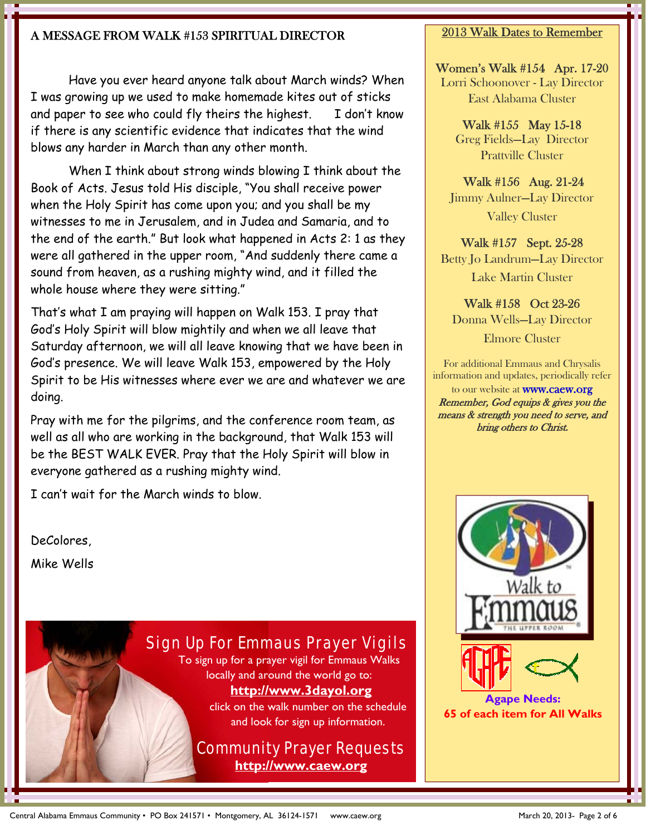## A MESSAGE FROM WALK #153 SPIRITUAL DIRECTOR

 Have you ever heard anyone talk about March winds? When I was growing up we used to make homemade kites out of sticks and paper to see who could fly theirs the highest. I don't know if there is any scientific evidence that indicates that the wind blows any harder in March than any other month.

 When I think about strong winds blowing I think about the Book of Acts. Jesus told His disciple, "You shall receive power when the Holy Spirit has come upon you; and you shall be my witnesses to me in Jerusalem, and in Judea and Samaria, and to the end of the earth." But look what happened in Acts 2: 1 as they were all gathered in the upper room, "And suddenly there came a sound from heaven, as a rushing mighty wind, and it filled the whole house where they were sitting."

That's what I am praying will happen on Walk 153. I pray that God's Holy Spirit will blow mightily and when we all leave that Saturday afternoon, we will all leave knowing that we have been in God's presence. We will leave Walk 153, empowered by the Holy Spirit to be His witnesses where ever we are and whatever we are doing.

Pray with me for the pilgrims, and the conference room team, as well as all who are working in the background, that Walk 153 will be the BEST WALK EVER. Pray that the Holy Spirit will blow in everyone gathered as a rushing mighty wind.

I can't wait for the March winds to blow.

DeColores,

Mike Wells

### Sign Up For Emmaus Prayer Vigils To sign up for a prayer vigil for Emmaus Walks

locally and around the world go to: **http://www.3dayol.org**

> click on the walk number on the schedule and look for sign up information.

## Community Prayer Requests **http://www.caew.org**

### 2013 Walk Dates to Remember

Women's Walk #154 Apr. 17-20 Lorri Schoonover - Lay Director East Alabama Cluster

> Walk #155 May 15-18 Greg Fields—Lay Director Prattville Cluster

 Walk #156 Aug. 21-24 Jimmy Aulner—Lay Director Valley Cluster

Walk #157 Sept. 25-28 Betty Jo Landrum—Lay Director Lake Martin Cluster

Walk #158 Oct 23-26 Donna Wells—Lay Director Elmore Cluster

For additional Emmaus and Chrysalis information and updates, periodically refer

to our website at **www.caew.org** Remember, God equips & gives you the means & strength you need to serve, and bring others to Christ.

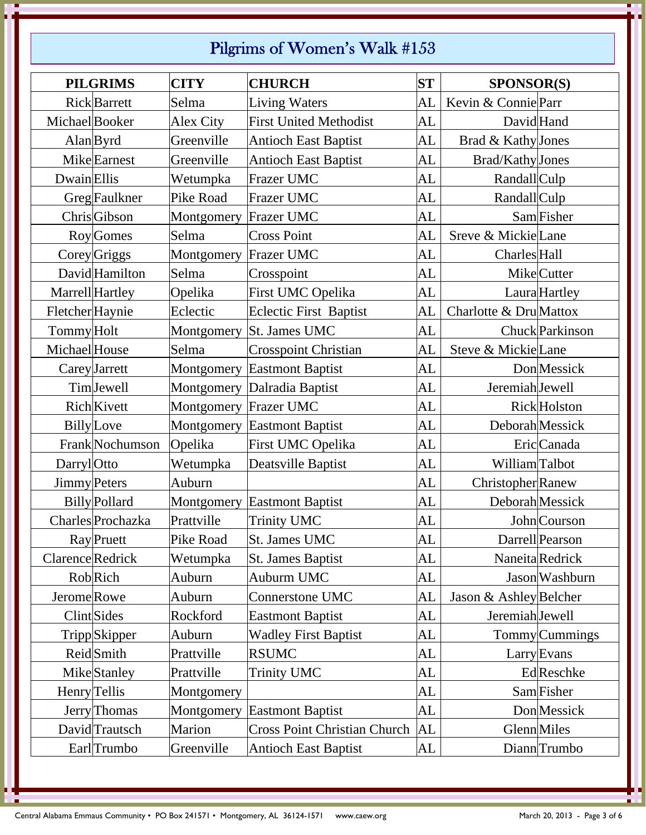# Pilgrims of Women's Walk #153

|                      | <b>PILGRIMS</b>      | <b>CITY</b> | <b>CHURCH</b>                       | <b>ST</b> | <b>SPONSOR(S)</b>        |
|----------------------|----------------------|-------------|-------------------------------------|-----------|--------------------------|
|                      | <b>Rick</b> Barrett  | Selma       | <b>Living Waters</b>                | AL        | Kevin & Connie Parr      |
| Michael Booker       |                      | Alex City   | <b>First United Methodist</b>       | AL        | David Hand               |
| $\text{Alan}$ Byrd   |                      | Greenville  | <b>Antioch East Baptist</b>         | AL        | Brad & Kathy Jones       |
|                      | <b>Mike</b> Earnest  | Greenville  | <b>Antioch East Baptist</b>         | AL        | Brad/Kathy Jones         |
| <b>Dwain</b> Ellis   |                      | Wetumpka    | Frazer UMC                          | AL        | Randall <sub>Culp</sub>  |
|                      | <b>Greg</b> Faulkner | Pike Road   | Frazer UMC                          | AL        | RandallCulp              |
|                      | ChrisGibson          | Montgomery  | <b>Frazer UMC</b>                   | AL        | Sam Fisher               |
|                      | Roy Gomes            | Selma       | <b>Cross Point</b>                  | AL        | Sreve & MickieLane       |
| Corey Griggs         |                      | Montgomery  | <b>Frazer UMC</b>                   | AL        | <b>Charles</b> Hall      |
|                      | David Hamilton       | Selma       | Crosspoint                          | AL        | MikeCutter               |
| Marrell Hartley      |                      | Opelika     | First UMC Opelika                   | AL        | Laura Hartley            |
| Fletcher Haynie      |                      | Eclectic    | <b>Eclectic First Baptist</b>       | AL        | Charlotte & Dru Mattox   |
| Tommy Holt           |                      | Montgomery  | St. James UMC                       | AL        | Chuck Parkinson          |
| Michael House        |                      | Selma       | <b>Crosspoint Christian</b>         | AL        | Steve & MickieLane       |
| <b>Carey</b> Jarrett |                      | Montgomery  | <b>Eastmont Baptist</b>             | AL        | <b>Don</b> Messick       |
|                      | TimJewell            | Montgomery  | Dalradia Baptist                    | AL        | Jeremiah Jewell          |
| <b>Rich</b> Kivett   |                      | Montgomery  | Frazer UMC                          | AL        | Rick Holston             |
| <b>Billy</b> Love    |                      | Montgomery  | <b>Eastmont Baptist</b>             | <b>AL</b> | Deborah Messick          |
|                      | Frank Nochumson      | Opelika     | First UMC Opelika                   | AL        | Eric Canada              |
| <b>Darryl</b> Otto   |                      | Wetumpka    | Deatsville Baptist                  | AL        | William Talbot           |
| <b>Jimmy</b> Peters  |                      | Auburn      |                                     | AL        | <b>Christopher</b> Ranew |
|                      | <b>Billy</b> Pollard | Montgomery  | <b>Eastmont Baptist</b>             | AL        | Deborah Messick          |
|                      | Charles Prochazka    | Prattville  | <b>Trinity UMC</b>                  | AL        | John Courson             |
|                      | Ray Pruett           | Pike Road   | St. James UMC                       | <b>AL</b> | Darrell Pearson          |
| Clarence Redrick     |                      | Wetumpka    | <b>St. James Baptist</b>            | AL        | Naneita Redrick          |
| Rob Rich             |                      | Auburn      | Auburm UMC                          | AL        | Jason Washburn           |
| Jerome Rowe          |                      | Auburn      | Connerstone UMC                     | AL        | Jason & Ashley Belcher   |
| <b>Clint</b> Sides   |                      | Rockford    | <b>Eastmont Baptist</b>             | AL        | Jeremiah Jewell          |
|                      | TrippSkipper         | Auburn      | <b>Wadley First Baptist</b>         | AL        | <b>Tommy</b> Cummings    |
| <b>Reid</b> Smith    |                      | Prattville  | <b>RSUMC</b>                        | AL        | <b>Larry</b> Evans       |
|                      | <b>Mike</b> Stanley  | Prattville  | <b>Trinity UMC</b>                  | AL        | Ed Reschke               |
| Henry Tellis         |                      | Montgomery  |                                     | AL        | Sam Fisher               |
|                      | Jerry Thomas         | Montgomery  | <b>Eastmont Baptist</b>             | AL        | <b>Don</b> Messick       |
|                      | David Trautsch       | Marion      | <b>Cross Point Christian Church</b> | <b>AL</b> | <b>Glenn</b> Miles       |
|                      | Earl Trumbo          | Greenville  | <b>Antioch East Baptist</b>         | AL        | DiannTrumbo              |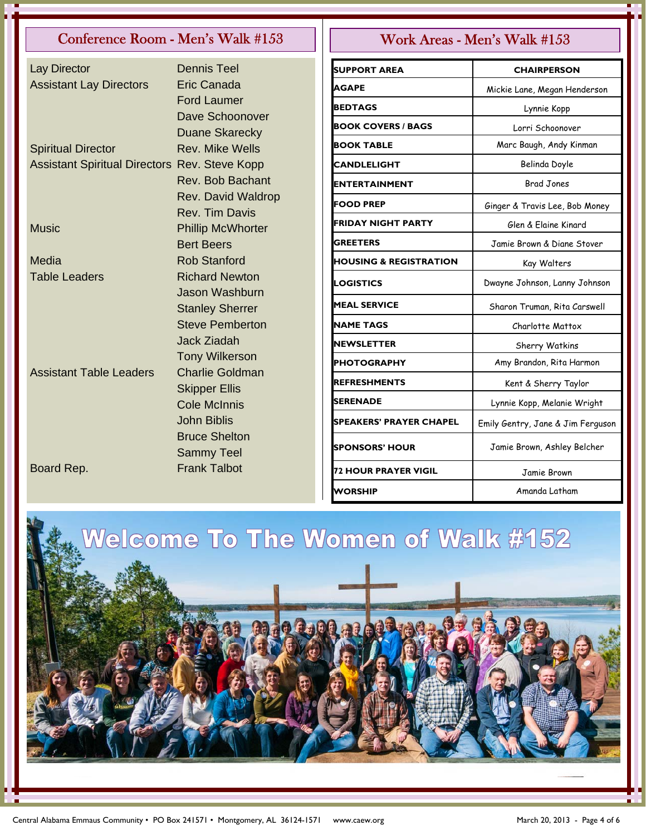# Conference Room - Men's Walk #153  $\vert \vert$  Work Areas - Men's Walk #153

| Lay Director                                         | <b>Dennis Teel</b>                          | <b>SUPPORT AREA</b>               |      |
|------------------------------------------------------|---------------------------------------------|-----------------------------------|------|
| <b>Assistant Lay Directors</b>                       | <b>Eric Canada</b>                          | <b>AGAPE</b>                      | Mi   |
|                                                      | <b>Ford Laumer</b>                          | <b>BEDTAGS</b>                    |      |
|                                                      | Dave Schoonover                             | <b>BOOK COVERS / BAGS</b>         |      |
|                                                      | <b>Duane Skarecky</b>                       | <b>BOOK TABLE</b>                 |      |
| <b>Spiritual Director</b>                            | <b>Rev. Mike Wells</b>                      |                                   |      |
| <b>Assistant Spiritual Directors Rev. Steve Kopp</b> | Rev. Bob Bachant                            | <b>CANDLELIGHT</b>                |      |
|                                                      |                                             | <b>ENTERTAINMENT</b>              |      |
|                                                      | Rev. David Waldrop<br><b>Rev. Tim Davis</b> | <b>FOOD PREP</b>                  | Gir  |
| <b>Music</b>                                         | <b>Phillip McWhorter</b>                    | <b>FRIDAY NIGHT PARTY</b>         |      |
|                                                      | <b>Bert Beers</b>                           | <b>GREETERS</b>                   | J    |
| Media                                                | <b>Rob Stanford</b>                         | <b>HOUSING &amp; REGISTRATION</b> |      |
| <b>Table Leaders</b>                                 | <b>Richard Newton</b>                       |                                   |      |
|                                                      | <b>Jason Washburn</b>                       | <b>LOGISTICS</b>                  | Dw   |
|                                                      | <b>Stanley Sherrer</b>                      | <b>MEAL SERVICE</b>               | S    |
|                                                      | <b>Steve Pemberton</b>                      | <b>NAME TAGS</b>                  |      |
|                                                      | <b>Jack Ziadah</b>                          | <b>NEWSLETTER</b>                 |      |
|                                                      | <b>Tony Wilkerson</b>                       | <b>PHOTOGRAPHY</b>                |      |
| <b>Assistant Table Leaders</b>                       | <b>Charlie Goldman</b>                      | <b>REFRESHMENTS</b>               |      |
|                                                      | <b>Skipper Ellis</b>                        |                                   |      |
|                                                      | <b>Cole McInnis</b>                         | <b>SERENADE</b>                   | L    |
|                                                      | <b>John Biblis</b>                          | <b>SPEAKERS' PRAYER CHAPEL</b>    | Emil |
|                                                      | <b>Bruce Shelton</b>                        | <b>SPONSORS' HOUR</b>             | J    |
|                                                      | <b>Sammy Teel</b>                           |                                   |      |
| Board Rep.                                           | <b>Frank Talbot</b>                         | <b>72 HOUR PRAYER VIGIL</b>       |      |
|                                                      |                                             |                                   |      |

| <b>SUPPORT AREA</b>               | <b>CHAIRPERSON</b>                |
|-----------------------------------|-----------------------------------|
| AGAPE                             | Mickie Lane, Megan Henderson      |
| <b>BEDTAGS</b>                    | Lynnie Kopp                       |
| <b>BOOK COVERS / BAGS</b>         | Lorri Schoonover                  |
| <b>BOOK TABLE</b>                 | Marc Baugh, Andy Kinman           |
| <b>CANDLELIGHT</b>                | Belinda Doyle                     |
| ENTERTAINMENT                     | <b>Brad Jones</b>                 |
| <b>FOOD PREP</b>                  | Ginger & Travis Lee, Bob Money    |
| FRIDAY NIGHT PARTY                | Glen & Elaine Kinard              |
| <b>GREETERS</b>                   | Jamie Brown & Diane Stover        |
| <b>HOUSING &amp; REGISTRATION</b> | Kay Walters                       |
| LOGISTICS                         | Dwayne Johnson, Lanny Johnson     |
| <b>MEAL SERVICE</b>               | Sharon Truman, Rita Carswell      |
| <b>NAME TAGS</b>                  | Charlotte Mattox                  |
| <b>NEWSLETTER</b>                 | Sherry Watkins                    |
| PHOTOGRAPHY                       | Amy Brandon, Rita Harmon          |
| <b>REFRESHMENTS</b>               | Kent & Sherry Taylor              |
| SERENADE                          | Lynnie Kopp, Melanie Wright       |
| SPEAKERS' PRAYER CHAPEL           | Emily Gentry, Jane & Jim Ferguson |
| <b>SPONSORS' HOUR</b>             | Jamie Brown, Ashley Belcher       |
| <b>72 HOUR PRAYER VIGIL</b>       | Jamie Brown                       |
| WORSHIP                           | Amanda Latham                     |

Welcome To The Women of Walk #152

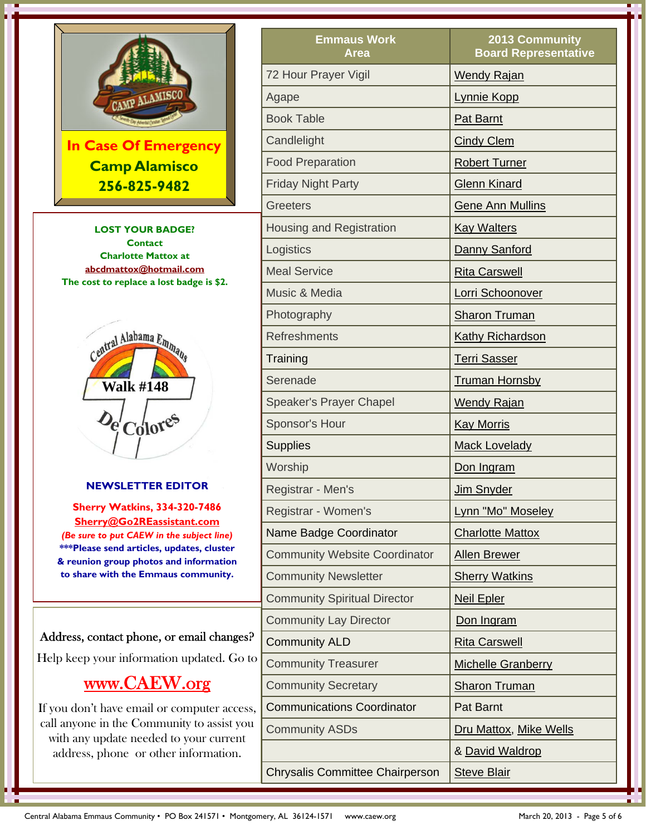

**In Case Of Emergency Camp Alamisco 256-825-9482**

**LOST YOUR BADGE? Contact Charlotte Mattox at abcdmattox@hotmail.com The cost to replace a lost badge is \$2.** 



### **NEWSLETTER EDITOR**

**Sherry Watkins, 334-320-7486 Sherry@Go2REassistant.com**  *(Be sure to put CAEW in the subject line)* **\*\*\*Please send articles, updates, cluster & reunion group photos and information to share with the Emmaus community.**

### Address, contact phone, or email changes?

Help keep your information updated. Go to

# www.CAEW.org

If you don't have email or computer access, call anyone in the Community to assist you with any update needed to your current address, phone or other information.

| <b>Emmaus Work</b><br>Area             | 2013 Community<br><b>Board Representative</b> |
|----------------------------------------|-----------------------------------------------|
| 72 Hour Prayer Vigil                   | <b>Wendy Rajan</b>                            |
| Agape                                  | Lynnie Kopp                                   |
| <b>Book Table</b>                      | Pat Barnt                                     |
| Candlelight                            | <b>Cindy Clem</b>                             |
| <b>Food Preparation</b>                | <b>Robert Turner</b>                          |
| <b>Friday Night Party</b>              | <b>Glenn Kinard</b>                           |
| <b>Greeters</b>                        | <b>Gene Ann Mullins</b>                       |
| Housing and Registration               | <b>Kay Walters</b>                            |
| Logistics                              | Danny Sanford                                 |
| <b>Meal Service</b>                    | <b>Rita Carswell</b>                          |
| Music & Media                          | Lorri Schoonover                              |
| Photography                            | <b>Sharon Truman</b>                          |
| <b>Refreshments</b>                    | <b>Kathy Richardson</b>                       |
| Training                               | <b>Terri Sasser</b>                           |
| Serenade                               | <b>Truman Hornsby</b>                         |
| <b>Speaker's Prayer Chapel</b>         | <b>Wendy Rajan</b>                            |
| Sponsor's Hour                         | <b>Kay Morris</b>                             |
| <b>Supplies</b>                        | <b>Mack Lovelady</b>                          |
| Worship                                | Don Ingram                                    |
| Registrar - Men's                      | Jim Snyder                                    |
| Registrar - Women's                    | Lynn "Mo" Moseley                             |
| Name Badge Coordinator                 | <b>Charlotte Mattox</b>                       |
| <b>Community Website Coordinator</b>   | <b>Allen Brewer</b>                           |
| <b>Community Newsletter</b>            | <b>Sherry Watkins</b>                         |
| <b>Community Spiritual Director</b>    | <b>Neil Epler</b>                             |
| <b>Community Lay Director</b>          | Don Ingram                                    |
| <b>Community ALD</b>                   | <b>Rita Carswell</b>                          |
| <b>Community Treasurer</b>             | <b>Michelle Granberry</b>                     |
| <b>Community Secretary</b>             | <b>Sharon Truman</b>                          |
| <b>Communications Coordinator</b>      | <b>Pat Barnt</b>                              |
| <b>Community ASDs</b>                  | Dru Mattox, Mike Wells                        |
|                                        | & David Waldrop                               |
| <b>Chrysalis Committee Chairperson</b> | <b>Steve Blair</b>                            |